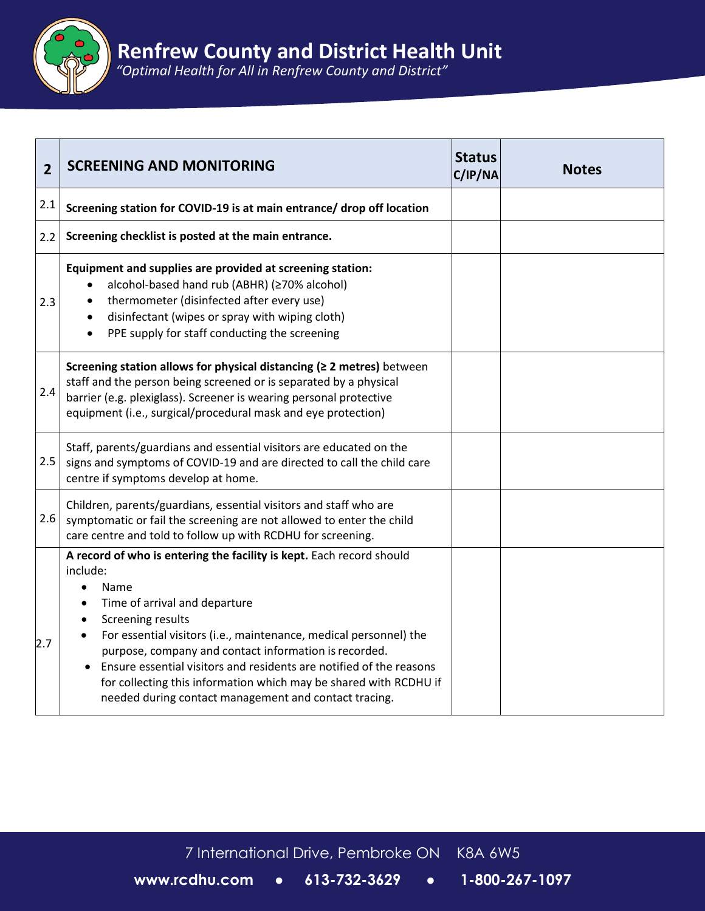

| $\overline{2}$ | <b>SCREENING AND MONITORING</b>                                                                                                                                                                                                                                                                                                                                                                                                                                                   | <b>Status</b><br>C/IP/NA | <b>Notes</b> |
|----------------|-----------------------------------------------------------------------------------------------------------------------------------------------------------------------------------------------------------------------------------------------------------------------------------------------------------------------------------------------------------------------------------------------------------------------------------------------------------------------------------|--------------------------|--------------|
| 2.1            | Screening station for COVID-19 is at main entrance/ drop off location                                                                                                                                                                                                                                                                                                                                                                                                             |                          |              |
| 2.2            | Screening checklist is posted at the main entrance.                                                                                                                                                                                                                                                                                                                                                                                                                               |                          |              |
| 2.3            | Equipment and supplies are provided at screening station:<br>alcohol-based hand rub (ABHR) (≥70% alcohol)<br>thermometer (disinfected after every use)<br>disinfectant (wipes or spray with wiping cloth)<br>PPE supply for staff conducting the screening                                                                                                                                                                                                                        |                          |              |
| 2.4            | Screening station allows for physical distancing ( $\geq 2$ metres) between<br>staff and the person being screened or is separated by a physical<br>barrier (e.g. plexiglass). Screener is wearing personal protective<br>equipment (i.e., surgical/procedural mask and eye protection)                                                                                                                                                                                           |                          |              |
| 2.5            | Staff, parents/guardians and essential visitors are educated on the<br>signs and symptoms of COVID-19 and are directed to call the child care<br>centre if symptoms develop at home.                                                                                                                                                                                                                                                                                              |                          |              |
| 2.6            | Children, parents/guardians, essential visitors and staff who are<br>symptomatic or fail the screening are not allowed to enter the child<br>care centre and told to follow up with RCDHU for screening.                                                                                                                                                                                                                                                                          |                          |              |
| 2.7            | A record of who is entering the facility is kept. Each record should<br>include:<br>Name<br>Time of arrival and departure<br>Screening results<br>For essential visitors (i.e., maintenance, medical personnel) the<br>purpose, company and contact information is recorded.<br>Ensure essential visitors and residents are notified of the reasons<br>for collecting this information which may be shared with RCDHU if<br>needed during contact management and contact tracing. |                          |              |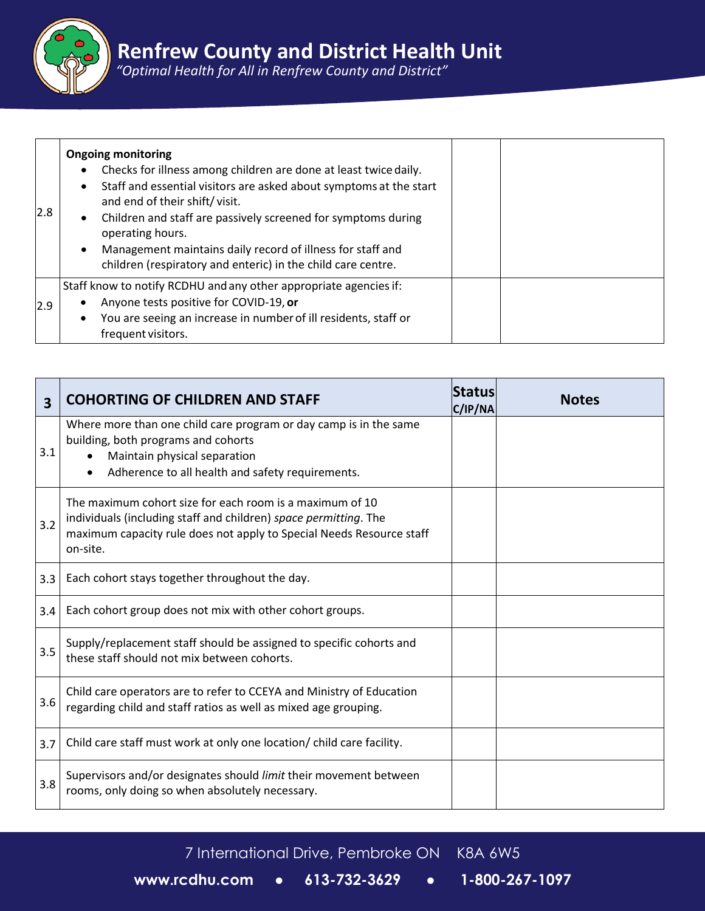

*"Optimal Health for All in Renfrew County and District"*

2.8 **Ongoing monitoring** Checks for illness among children are done at least twice daily. Staff and essential visitors are asked about symptoms at the start and end of their shift/ visit. Children and staff are passively screened for symptoms during operating hours. Management maintains daily record of illness for staff and children (respiratory and enteric) in the child care centre. 2.9 Staff know to notify RCDHU and any other appropriate agencies if: Anyone tests positive for COVID-19, **or** You are seeing an increase in numberof ill residents, staff or frequent visitors.

| $\overline{\mathbf{3}}$ | <b>COHORTING OF CHILDREN AND STAFF</b>                                                                                                                                                                           | <b>Status</b><br>C/IP/NA | <b>Notes</b> |
|-------------------------|------------------------------------------------------------------------------------------------------------------------------------------------------------------------------------------------------------------|--------------------------|--------------|
| 3.1                     | Where more than one child care program or day camp is in the same<br>building, both programs and cohorts<br>Maintain physical separation<br>Adherence to all health and safety requirements.                     |                          |              |
| 3.2                     | The maximum cohort size for each room is a maximum of 10<br>individuals (including staff and children) space permitting. The<br>maximum capacity rule does not apply to Special Needs Resource staff<br>on-site. |                          |              |
| 3.3                     | Each cohort stays together throughout the day.                                                                                                                                                                   |                          |              |
| 3.4                     | Each cohort group does not mix with other cohort groups.                                                                                                                                                         |                          |              |
| 3.5                     | Supply/replacement staff should be assigned to specific cohorts and<br>these staff should not mix between cohorts.                                                                                               |                          |              |
| 3.6                     | Child care operators are to refer to CCEYA and Ministry of Education<br>regarding child and staff ratios as well as mixed age grouping.                                                                          |                          |              |
| 3.7                     | Child care staff must work at only one location/child care facility.                                                                                                                                             |                          |              |
| 3.8                     | Supervisors and/or designates should limit their movement between<br>rooms, only doing so when absolutely necessary.                                                                                             |                          |              |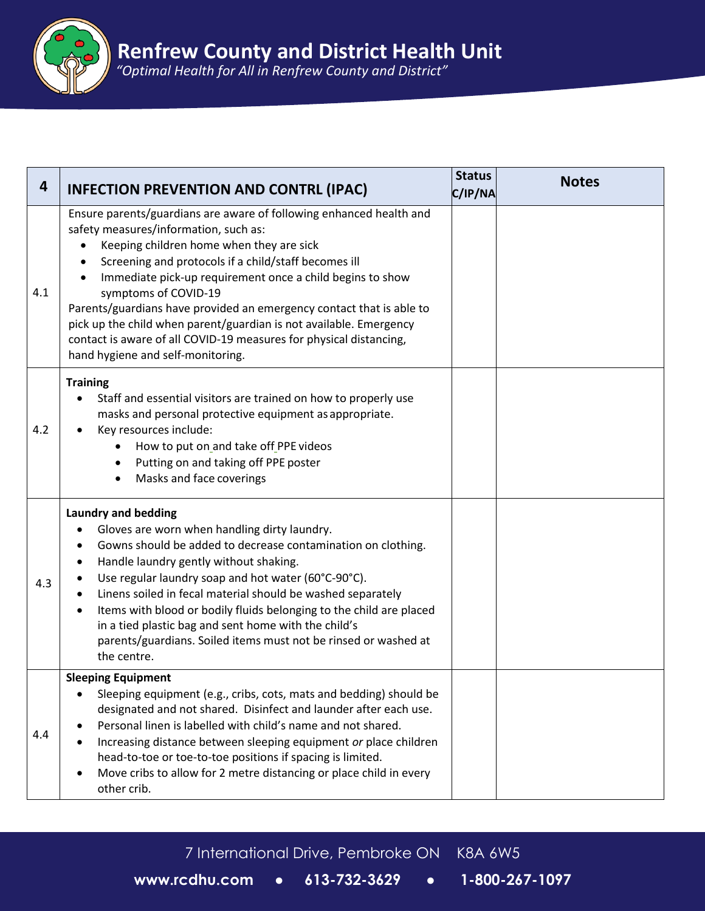

| 4   | <b>INFECTION PREVENTION AND CONTRL (IPAC)</b>                                                                                                                                                                                                                                                                                                                                                                                                                                                                                                                               | <b>Status</b><br>C/IP/NA | <b>Notes</b> |
|-----|-----------------------------------------------------------------------------------------------------------------------------------------------------------------------------------------------------------------------------------------------------------------------------------------------------------------------------------------------------------------------------------------------------------------------------------------------------------------------------------------------------------------------------------------------------------------------------|--------------------------|--------------|
| 4.1 | Ensure parents/guardians are aware of following enhanced health and<br>safety measures/information, such as:<br>Keeping children home when they are sick<br>Screening and protocols if a child/staff becomes ill<br>$\bullet$<br>Immediate pick-up requirement once a child begins to show<br>symptoms of COVID-19<br>Parents/guardians have provided an emergency contact that is able to<br>pick up the child when parent/guardian is not available. Emergency<br>contact is aware of all COVID-19 measures for physical distancing,<br>hand hygiene and self-monitoring. |                          |              |
| 4.2 | <b>Training</b><br>Staff and essential visitors are trained on how to properly use<br>masks and personal protective equipment as appropriate.<br>Key resources include:<br>How to put on and take off PPE videos<br>$\bullet$<br>Putting on and taking off PPE poster<br>Masks and face coverings<br>$\bullet$                                                                                                                                                                                                                                                              |                          |              |
| 4.3 | <b>Laundry and bedding</b><br>Gloves are worn when handling dirty laundry.<br>Gowns should be added to decrease contamination on clothing.<br>Handle laundry gently without shaking.<br>$\bullet$<br>Use regular laundry soap and hot water (60°C-90°C).<br>Linens soiled in fecal material should be washed separately<br>Items with blood or bodily fluids belonging to the child are placed<br>in a tied plastic bag and sent home with the child's<br>parents/guardians. Soiled items must not be rinsed or washed at<br>the centre.                                    |                          |              |
| 4.4 | <b>Sleeping Equipment</b><br>Sleeping equipment (e.g., cribs, cots, mats and bedding) should be<br>designated and not shared. Disinfect and launder after each use.<br>Personal linen is labelled with child's name and not shared.<br>Increasing distance between sleeping equipment or place children<br>head-to-toe or toe-to-toe positions if spacing is limited.<br>Move cribs to allow for 2 metre distancing or place child in every<br>other crib.                                                                                                                  |                          |              |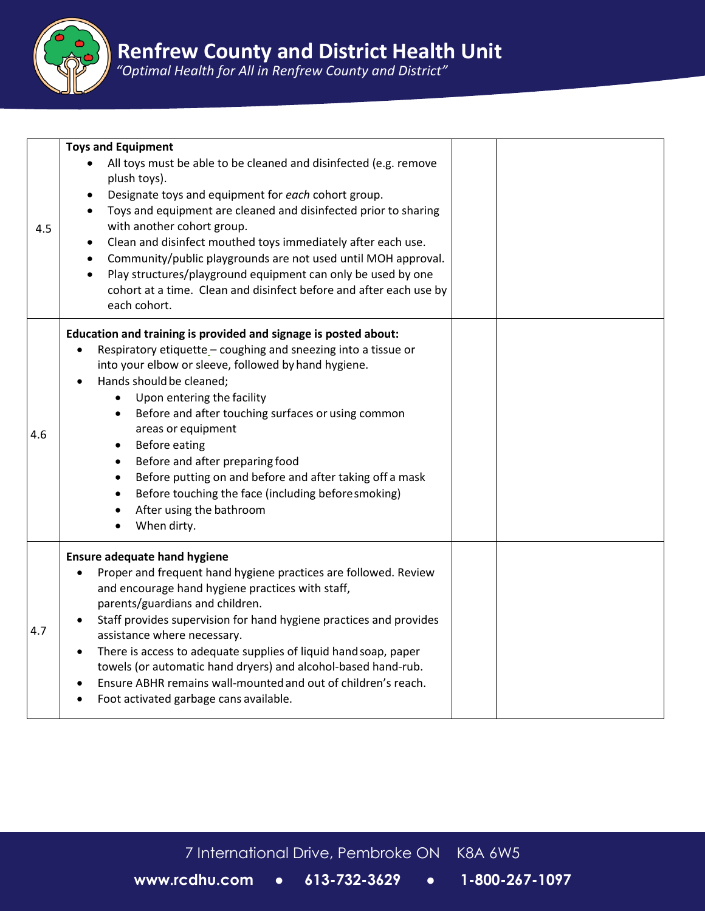

| 4.5 | <b>Toys and Equipment</b><br>All toys must be able to be cleaned and disinfected (e.g. remove<br>plush toys).<br>Designate toys and equipment for each cohort group.<br>$\bullet$<br>Toys and equipment are cleaned and disinfected prior to sharing<br>$\bullet$<br>with another cohort group.<br>Clean and disinfect mouthed toys immediately after each use.<br>$\bullet$<br>Community/public playgrounds are not used until MOH approval.<br>$\bullet$<br>Play structures/playground equipment can only be used by one<br>$\bullet$<br>cohort at a time. Clean and disinfect before and after each use by<br>each cohort. |  |
|-----|-------------------------------------------------------------------------------------------------------------------------------------------------------------------------------------------------------------------------------------------------------------------------------------------------------------------------------------------------------------------------------------------------------------------------------------------------------------------------------------------------------------------------------------------------------------------------------------------------------------------------------|--|
| 4.6 | Education and training is provided and signage is posted about:<br>Respiratory etiquette - coughing and sneezing into a tissue or<br>into your elbow or sleeve, followed by hand hygiene.<br>Hands should be cleaned;<br>Upon entering the facility<br>$\bullet$<br>Before and after touching surfaces or using common<br>$\bullet$<br>areas or equipment<br>Before eating<br>Before and after preparing food<br>$\bullet$<br>Before putting on and before and after taking off a mask<br>$\bullet$<br>Before touching the face (including beforesmoking)<br>After using the bathroom<br>When dirty.                          |  |
| 4.7 | <b>Ensure adequate hand hygiene</b><br>Proper and frequent hand hygiene practices are followed. Review<br>and encourage hand hygiene practices with staff,<br>parents/guardians and children.<br>Staff provides supervision for hand hygiene practices and provides<br>assistance where necessary.<br>There is access to adequate supplies of liquid hand soap, paper<br>towels (or automatic hand dryers) and alcohol-based hand-rub.<br>Ensure ABHR remains wall-mounted and out of children's reach.<br>Foot activated garbage cans available.                                                                             |  |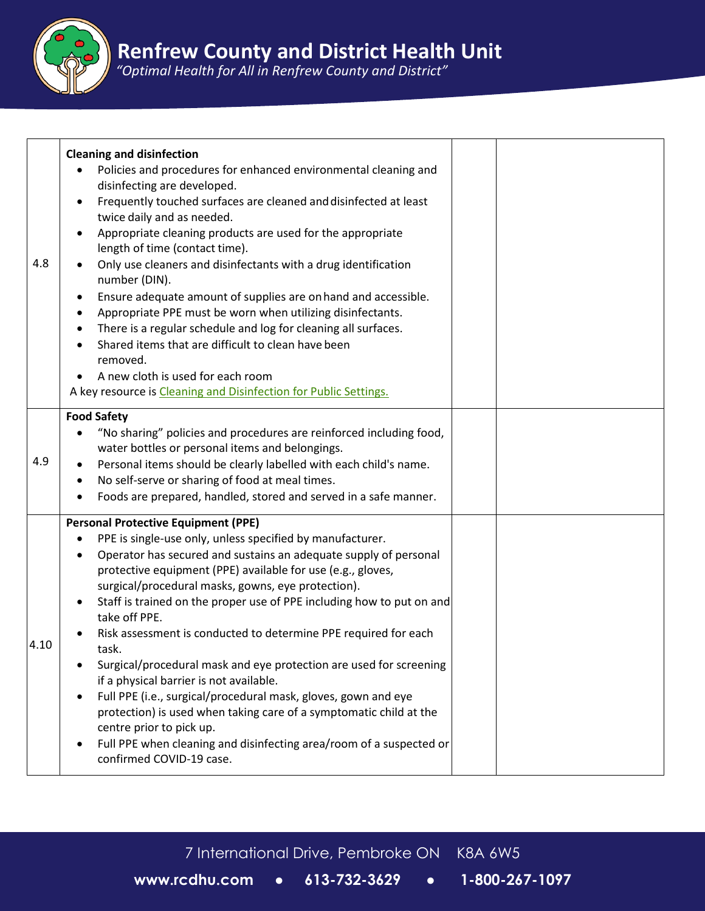

## **Renfrew County and District Health Unit**

*"Optimal Health for All in Renfrew County and District"* 

| 4.8  | <b>Cleaning and disinfection</b><br>Policies and procedures for enhanced environmental cleaning and<br>disinfecting are developed.<br>Frequently touched surfaces are cleaned and disinfected at least<br>twice daily and as needed.<br>Appropriate cleaning products are used for the appropriate<br>length of time (contact time).<br>Only use cleaners and disinfectants with a drug identification<br>number (DIN).<br>Ensure adequate amount of supplies are on hand and accessible.<br>Appropriate PPE must be worn when utilizing disinfectants.<br>$\bullet$<br>There is a regular schedule and log for cleaning all surfaces.<br>$\bullet$<br>Shared items that are difficult to clean have been<br>removed.<br>A new cloth is used for each room<br>A key resource is Cleaning and Disinfection for Public Settings.                                      |  |
|------|---------------------------------------------------------------------------------------------------------------------------------------------------------------------------------------------------------------------------------------------------------------------------------------------------------------------------------------------------------------------------------------------------------------------------------------------------------------------------------------------------------------------------------------------------------------------------------------------------------------------------------------------------------------------------------------------------------------------------------------------------------------------------------------------------------------------------------------------------------------------|--|
| 4.9  | <b>Food Safety</b><br>"No sharing" policies and procedures are reinforced including food,<br>water bottles or personal items and belongings.<br>Personal items should be clearly labelled with each child's name.<br>No self-serve or sharing of food at meal times.<br>٠<br>Foods are prepared, handled, stored and served in a safe manner.                                                                                                                                                                                                                                                                                                                                                                                                                                                                                                                       |  |
| 4.10 | <b>Personal Protective Equipment (PPE)</b><br>PPE is single-use only, unless specified by manufacturer.<br>Operator has secured and sustains an adequate supply of personal<br>٠<br>protective equipment (PPE) available for use (e.g., gloves,<br>surgical/procedural masks, gowns, eye protection).<br>Staff is trained on the proper use of PPE including how to put on and<br>take off PPE.<br>Risk assessment is conducted to determine PPE required for each<br>task.<br>Surgical/procedural mask and eye protection are used for screening<br>if a physical barrier is not available.<br>Full PPE (i.e., surgical/procedural mask, gloves, gown and eye<br>protection) is used when taking care of a symptomatic child at the<br>centre prior to pick up.<br>Full PPE when cleaning and disinfecting area/room of a suspected or<br>confirmed COVID-19 case. |  |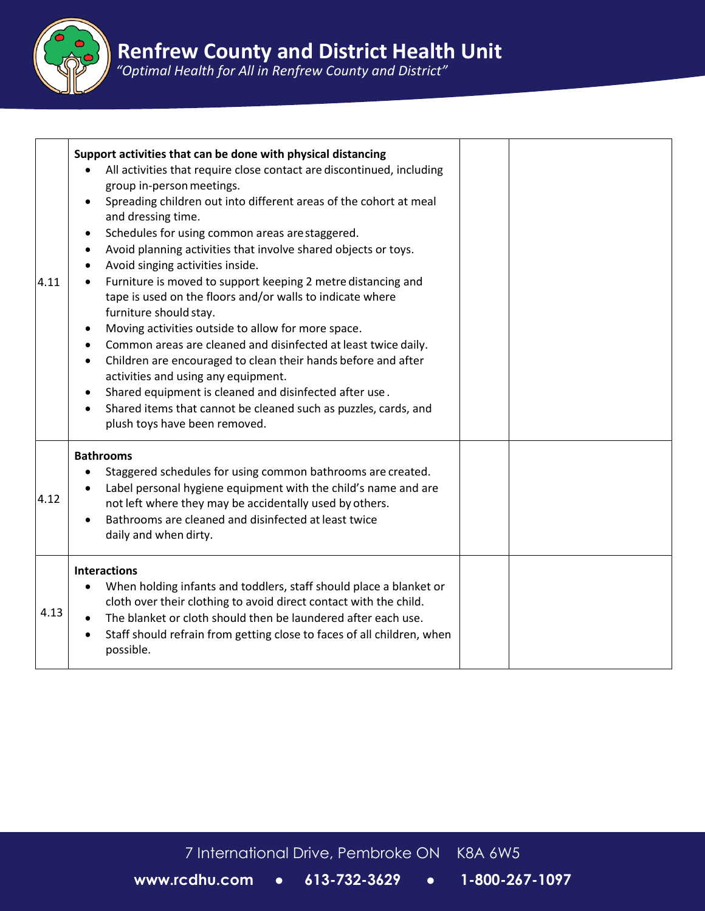

*"Optimal Health for All in Renfrew County and District"* 

| 4.11 | Support activities that can be done with physical distancing<br>All activities that require close contact are discontinued, including<br>group in-person meetings.<br>Spreading children out into different areas of the cohort at meal<br>and dressing time.<br>Schedules for using common areas are staggered.<br>$\bullet$<br>Avoid planning activities that involve shared objects or toys.<br>Avoid singing activities inside.<br>Furniture is moved to support keeping 2 metre distancing and<br>tape is used on the floors and/or walls to indicate where<br>furniture should stay.<br>Moving activities outside to allow for more space.<br>Common areas are cleaned and disinfected at least twice daily.<br>Children are encouraged to clean their hands before and after<br>activities and using any equipment.<br>Shared equipment is cleaned and disinfected after use.<br>Shared items that cannot be cleaned such as puzzles, cards, and<br>plush toys have been removed. |  |
|------|------------------------------------------------------------------------------------------------------------------------------------------------------------------------------------------------------------------------------------------------------------------------------------------------------------------------------------------------------------------------------------------------------------------------------------------------------------------------------------------------------------------------------------------------------------------------------------------------------------------------------------------------------------------------------------------------------------------------------------------------------------------------------------------------------------------------------------------------------------------------------------------------------------------------------------------------------------------------------------------|--|
| 4.12 | <b>Bathrooms</b><br>Staggered schedules for using common bathrooms are created.<br>Label personal hygiene equipment with the child's name and are<br>not left where they may be accidentally used by others.<br>Bathrooms are cleaned and disinfected at least twice<br>daily and when dirty.                                                                                                                                                                                                                                                                                                                                                                                                                                                                                                                                                                                                                                                                                            |  |
| 4.13 | <b>Interactions</b><br>When holding infants and toddlers, staff should place a blanket or<br>cloth over their clothing to avoid direct contact with the child.<br>The blanket or cloth should then be laundered after each use.<br>Staff should refrain from getting close to faces of all children, when<br>possible.                                                                                                                                                                                                                                                                                                                                                                                                                                                                                                                                                                                                                                                                   |  |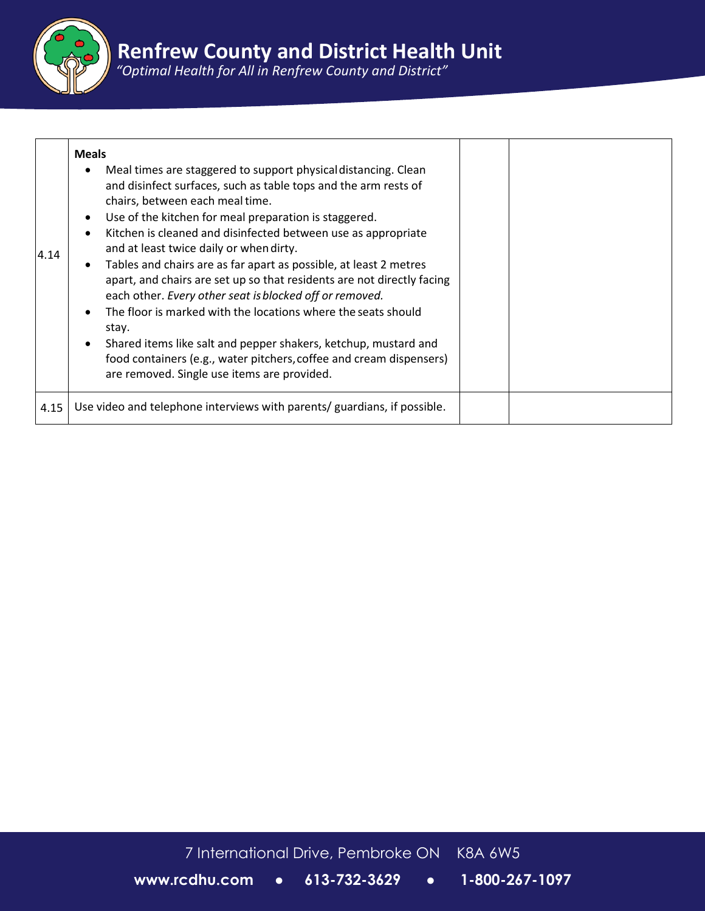

| 4.14 | <b>Meals</b><br>Meal times are staggered to support physical distancing. Clean<br>and disinfect surfaces, such as table tops and the arm rests of<br>chairs, between each meal time.<br>Use of the kitchen for meal preparation is staggered.<br>Kitchen is cleaned and disinfected between use as appropriate<br>and at least twice daily or when dirty.<br>Tables and chairs are as far apart as possible, at least 2 metres<br>apart, and chairs are set up so that residents are not directly facing<br>each other. Every other seat is blocked off or removed.<br>The floor is marked with the locations where the seats should<br>stay.<br>Shared items like salt and pepper shakers, ketchup, mustard and<br>food containers (e.g., water pitchers, coffee and cream dispensers)<br>are removed. Single use items are provided. |  |
|------|----------------------------------------------------------------------------------------------------------------------------------------------------------------------------------------------------------------------------------------------------------------------------------------------------------------------------------------------------------------------------------------------------------------------------------------------------------------------------------------------------------------------------------------------------------------------------------------------------------------------------------------------------------------------------------------------------------------------------------------------------------------------------------------------------------------------------------------|--|
| 4.15 | Use video and telephone interviews with parents/ guardians, if possible.                                                                                                                                                                                                                                                                                                                                                                                                                                                                                                                                                                                                                                                                                                                                                               |  |